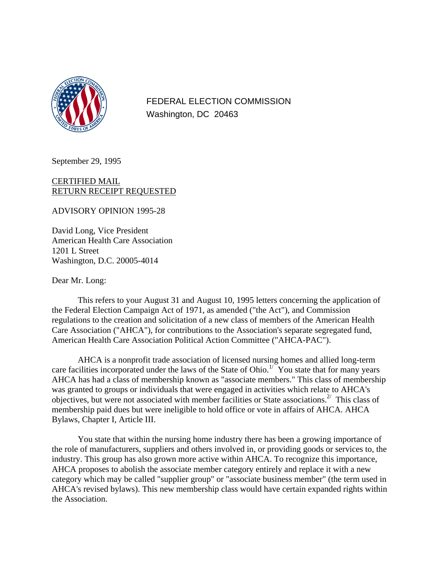

FEDERAL ELECTION COMMISSION Washington, DC 20463

September 29, 1995

#### CERTIFIED MAIL RETURN RECEIPT REQUESTED

ADVISORY OPINION 1995-28

David Long, Vice President American Health Care Association 1201 L Street Washington, D.C. 20005-4014

Dear Mr. Long:

This refers to your August 31 and August 10, 1995 letters concerning the application of the Federal Election Campaign Act of 1971, as amended ("the Act"), and Commission regulations to the creation and solicitation of a new class of members of the American Health Care Association ("AHCA"), for contributions to the Association's separate segregated fund, American Health Care Association Political Action Committee ("AHCA-PAC").

AHCA is a nonprofit trade association of licensed nursing homes and allied long-term care facilities incorporated under the laws of the State of Ohio.<sup>1/ $\check{Y}$ </sup> You state that for many years AHCA has had a class of membership known as "associate members." This class of membership was granted to groups or individuals that were engaged in activities which relate to AHCA's objectives, but were not associated with member facilities or State associations.<sup>2/</sup> This class of membership paid dues but were ineligible to hold office or vote in affairs of AHCA. AHCA Bylaws, Chapter I, Article III.

You state that within the nursing home industry there has been a growing importance of the role of manufacturers, suppliers and others involved in, or providing goods or services to, the industry. This group has also grown more active within AHCA. To recognize this importance, AHCA proposes to abolish the associate member category entirely and replace it with a new category which may be called "supplier group" or "associate business member" (the term used in AHCA's revised bylaws). This new membership class would have certain expanded rights within the Association.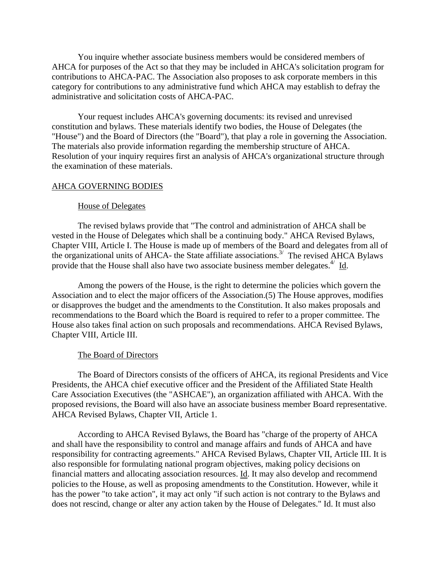You inquire whether associate business members would be considered members of AHCA for purposes of the Act so that they may be included in AHCA's solicitation program for contributions to AHCA-PAC. The Association also proposes to ask corporate members in this category for contributions to any administrative fund which AHCA may establish to defray the administrative and solicitation costs of AHCA-PAC.

Your request includes AHCA's governing documents: its revised and unrevised constitution and bylaws. These materials identify two bodies, the House of Delegates (the "House") and the Board of Directors (the "Board"), that play a role in governing the Association. The materials also provide information regarding the membership structure of AHCA. Resolution of your inquiry requires first an analysis of AHCA's organizational structure through the examination of these materials.

#### AHCA GOVERNING BODIES

#### House of Delegates

The revised bylaws provide that "The control and administration of AHCA shall be vested in the House of Delegates which shall be a continuing body." AHCA Revised Bylaws, Chapter VIII, Article I. The House is made up of members of the Board and delegates from all of the organizational units of AHCA- the State affiliate associations.<sup>3/</sup> The revised AHCA Bylaws provide that the House shall also have two associate business member delegates. $4$  Id.

Among the powers of the House, is the right to determine the policies which govern the Association and to elect the major officers of the Association.(5) The House approves, modifies or disapproves the budget and the amendments to the Constitution. It also makes proposals and recommendations to the Board which the Board is required to refer to a proper committee. The House also takes final action on such proposals and recommendations. AHCA Revised Bylaws, Chapter VIII, Article III.

#### The Board of Directors

The Board of Directors consists of the officers of AHCA, its regional Presidents and Vice Presidents, the AHCA chief executive officer and the President of the Affiliated State Health Care Association Executives (the "ASHCAE"), an organization affiliated with AHCA. With the proposed revisions, the Board will also have an associate business member Board representative. AHCA Revised Bylaws, Chapter VII, Article 1.

According to AHCA Revised Bylaws, the Board has "charge of the property of AHCA and shall have the responsibility to control and manage affairs and funds of AHCA and have responsibility for contracting agreements." AHCA Revised Bylaws, Chapter VII, Article III. It is also responsible for formulating national program objectives, making policy decisions on financial matters and allocating association resources. Id. It may also develop and recommend policies to the House, as well as proposing amendments to the Constitution. However, while it has the power "to take action", it may act only "if such action is not contrary to the Bylaws and does not rescind, change or alter any action taken by the House of Delegates." Id. It must also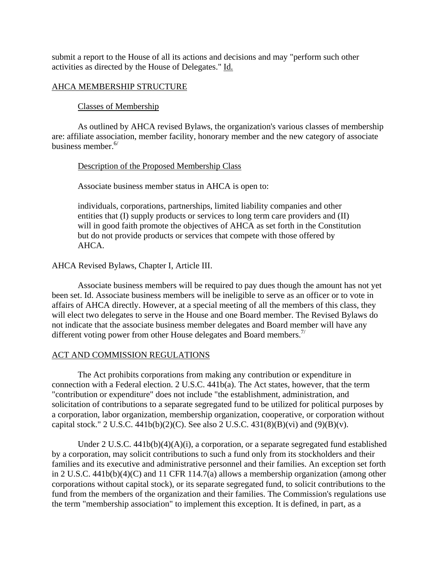submit a report to the House of all its actions and decisions and may "perform such other activities as directed by the House of Delegates." Id.

## AHCA MEMBERSHIP STRUCTURE

## Classes of Membership

As outlined by AHCA revised Bylaws, the organization's various classes of membership are: affiliate association, member facility, honorary member and the new category of associate business member.  $6/$ 

## Description of the Proposed Membership Class

Associate business member status in AHCA is open to:

individuals, corporations, partnerships, limited liability companies and other entities that (I) supply products or services to long term care providers and (II) will in good faith promote the objectives of AHCA as set forth in the Constitution but do not provide products or services that compete with those offered by AHCA.

# AHCA Revised Bylaws, Chapter I, Article III.

Associate business members will be required to pay dues though the amount has not yet been set. Id. Associate business members will be ineligible to serve as an officer or to vote in affairs of AHCA directly. However, at a special meeting of all the members of this class, they will elect two delegates to serve in the House and one Board member. The Revised Bylaws do not indicate that the associate business member delegates and Board member will have any different voting power from other House delegates and Board members.<sup>7/</sup>

## ACT AND COMMISSION REGULATIONS

The Act prohibits corporations from making any contribution or expenditure in connection with a Federal election. 2 U.S.C. 441b(a). The Act states, however, that the term "contribution or expenditure" does not include "the establishment, administration, and solicitation of contributions to a separate segregated fund to be utilized for political purposes by a corporation, labor organization, membership organization, cooperative, or corporation without capital stock." 2 U.S.C. 441b(b)(2)(C). See also 2 U.S.C. 431(8)(B)(vi) and (9)(B)(v).

Under 2 U.S.C. 441b(b)(4)(A)(i), a corporation, or a separate segregated fund established by a corporation, may solicit contributions to such a fund only from its stockholders and their families and its executive and administrative personnel and their families. An exception set forth in 2 U.S.C. 441b(b)(4)(C) and 11 CFR 114.7(a) allows a membership organization (among other corporations without capital stock), or its separate segregated fund, to solicit contributions to the fund from the members of the organization and their families. The Commission's regulations use the term "membership association" to implement this exception. It is defined, in part, as a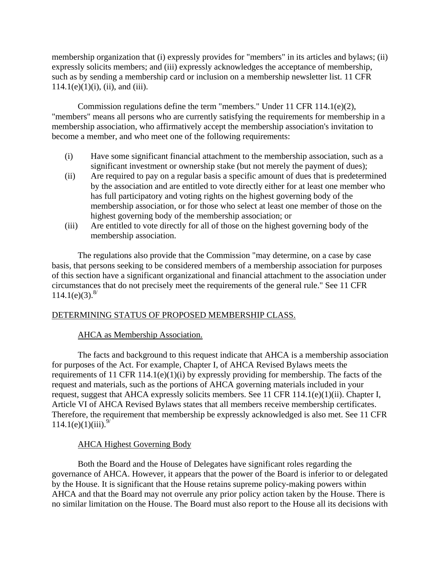membership organization that (i) expressly provides for "members" in its articles and bylaws; (ii) expressly solicits members; and (iii) expressly acknowledges the acceptance of membership, such as by sending a membership card or inclusion on a membership newsletter list. 11 CFR  $114.1(e)(1)(i)$ , (ii), and (iii).

Commission regulations define the term "members." Under 11 CFR 114.1(e)(2), "members" means all persons who are currently satisfying the requirements for membership in a membership association, who affirmatively accept the membership association's invitation to become a member, and who meet one of the following requirements:

- (i) Have some significant financial attachment to the membership association, such as a significant investment or ownership stake (but not merely the payment of dues);
- (ii) Are required to pay on a regular basis a specific amount of dues that is predetermined by the association and are entitled to vote directly either for at least one member who has full participatory and voting rights on the highest governing body of the membership association, or for those who select at least one member of those on the highest governing body of the membership association; or
- (iii) Are entitled to vote directly for all of those on the highest governing body of the membership association.

The regulations also provide that the Commission "may determine, on a case by case basis, that persons seeking to be considered members of a membership association for purposes of this section have a significant organizational and financial attachment to the association under circumstances that do not precisely meet the requirements of the general rule." See 11 CFR  $114.1(e)(3).^{8/8}$ 

# DETERMINING STATUS OF PROPOSED MEMBERSHIP CLASS.

## AHCA as Membership Association.

The facts and background to this request indicate that AHCA is a membership association for purposes of the Act. For example, Chapter I, of AHCA Revised Bylaws meets the requirements of 11 CFR 114.1(e)(1)(i) by expressly providing for membership. The facts of the request and materials, such as the portions of AHCA governing materials included in your request, suggest that AHCA expressly solicits members. See 11 CFR 114.1(e)(1)(ii). Chapter I, Article VI of AHCA Revised Bylaws states that all members receive membership certificates. Therefore, the requirement that membership be expressly acknowledged is also met. See 11 CFR  $114.1(e)(1)(iii).<sup>9/</sup>$ 

# AHCA Highest Governing Body

Both the Board and the House of Delegates have significant roles regarding the governance of AHCA. However, it appears that the power of the Board is inferior to or delegated by the House. It is significant that the House retains supreme policy-making powers within AHCA and that the Board may not overrule any prior policy action taken by the House. There is no similar limitation on the House. The Board must also report to the House all its decisions with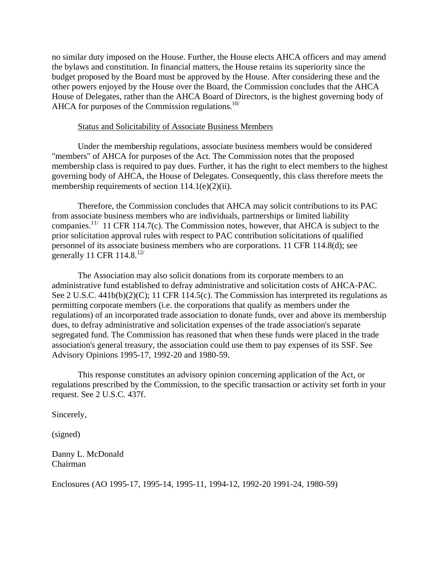no similar duty imposed on the House. Further, the House elects AHCA officers and may amend the bylaws and constitution. In financial matters, the House retains its superiority since the budget proposed by the Board must be approved by the House. After considering these and the other powers enjoyed by the House over the Board, the Commission concludes that the AHCA House of Delegates, rather than the AHCA Board of Directors, is the highest governing body of AHCA for purposes of the Commission regulations. $10/10$ 

### Status and Solicitability of Associate Business Members

Under the membership regulations, associate business members would be considered "members" of AHCA for purposes of the Act. The Commission notes that the proposed membership class is required to pay dues. Further, it has the right to elect members to the highest governing body of AHCA, the House of Delegates. Consequently, this class therefore meets the membership requirements of section  $114.1(e)(2)(ii)$ .

Therefore, the Commission concludes that AHCA may solicit contributions to its PAC from associate business members who are individuals, partnerships or limited liability companies.<sup>11/</sup> 11 CFR 114.7(c). The Commission notes, however, that AHCA is subject to the prior solicitation approval rules with respect to PAC contribution solicitations of qualified personnel of its associate business members who are corporations. 11 CFR 114.8(d); see generally 11 CFR 114.8. $12/$ 

The Association may also solicit donations from its corporate members to an administrative fund established to defray administrative and solicitation costs of AHCA-PAC. See 2 U.S.C. 441b(b)(2)(C); 11 CFR 114.5(c). The Commission has interpreted its regulations as permitting corporate members (i.e. the corporations that qualify as members under the regulations) of an incorporated trade association to donate funds, over and above its membership dues, to defray administrative and solicitation expenses of the trade association's separate segregated fund. The Commission has reasoned that when these funds were placed in the trade association's general treasury, the association could use them to pay expenses of its SSF. See Advisory Opinions 1995-17, 1992-20 and 1980-59.

This response constitutes an advisory opinion concerning application of the Act, or regulations prescribed by the Commission, to the specific transaction or activity set forth in your request. See 2 U.S.C. 437f.

Sincerely,

(signed)

Danny L. McDonald Chairman

Enclosures (AO 1995-17, 1995-14, 1995-11, 1994-12, 1992-20 1991-24, 1980-59)